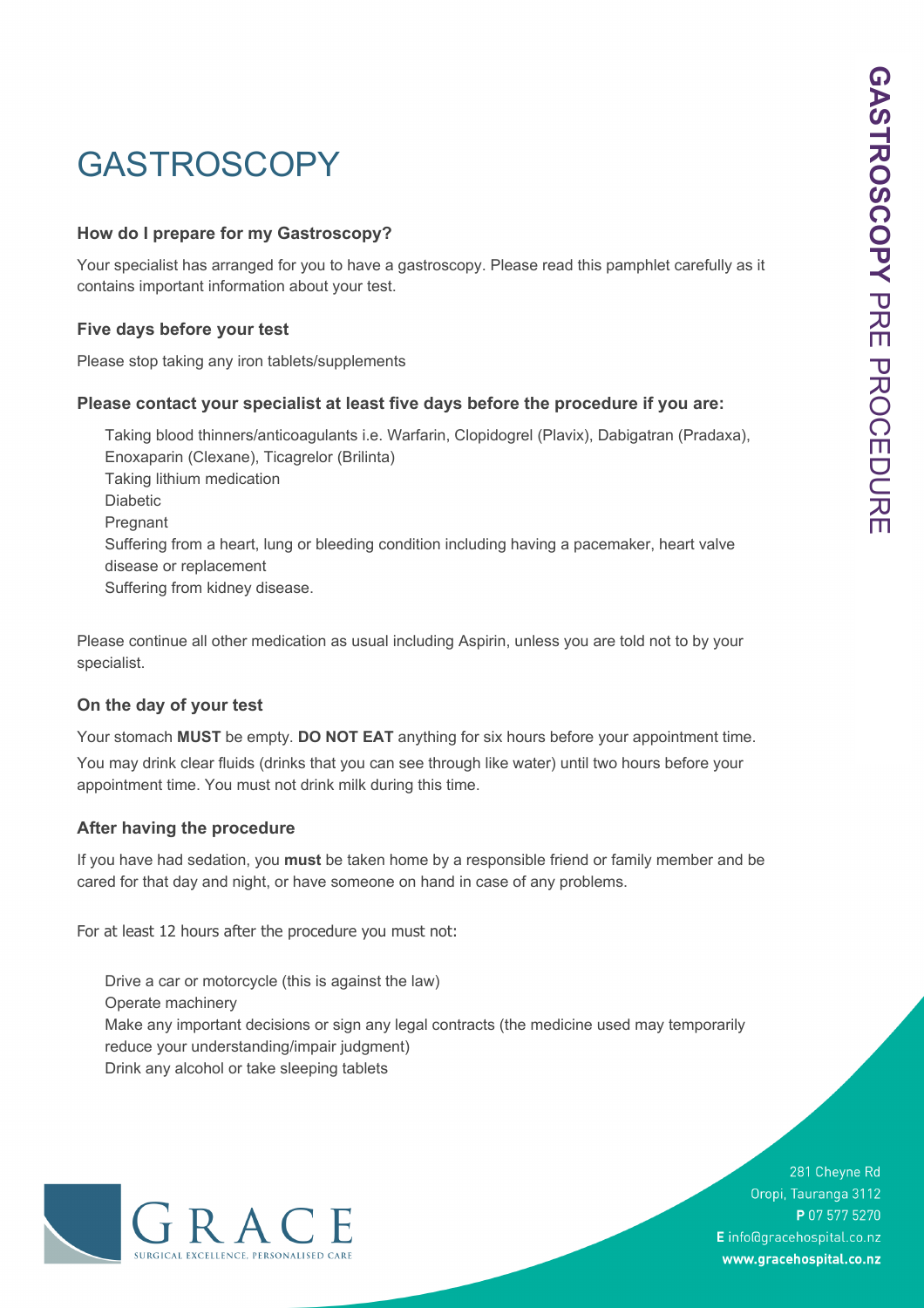# GASTROSCOPY

### **How do I prepare for my Gastroscopy?**

Your specialist has arranged for you to have a gastroscopy. Please read this pamphlet carefully as it contains important information about your test.

#### **Five days before your test**

Please stop taking any iron tablets/supplements

#### **Please contact your specialist at least five days before the procedure if you are:**

Taking blood thinners/anticoagulants i.e. Warfarin, Clopidogrel (Plavix), Dabigatran (Pradaxa), Enoxaparin (Clexane), Ticagrelor (Brilinta) Taking lithium medication Diabetic **Pregnant** Suffering from a heart, lung or bleeding condition including having a pacemaker, heart valve disease or replacement Suffering from kidney disease.

Please continue all other medication as usual including Aspirin, unless you are told not to by your specialist.

#### **On the day of your test**

Your stomach **MUST** be empty. **DO NOT EAT** anything for six hours before your appointment time. You may drink clear fluids (drinks that you can see through like water) until two hours before your appointment time. You must not drink milk during this time.

# **After having the procedure**

If you have had sedation, you **must** be taken home by a responsible friend or family member and be cared for that day and night, or have someone on hand in case of any problems.

For at least 12 hours after the procedure you must not:

Drive a car or motorcycle (this is against the law) Operate machinery Make any important decisions or sign any legal contracts (the medicine used may temporarily reduce your understanding/impair judgment) Drink any alcohol or take sleeping tablets



281 Cheyne Rd Oropi, Tauranga 3112 P 07 577 5270 E info@gracehospital.co.nz www.gracehospital.co.nz